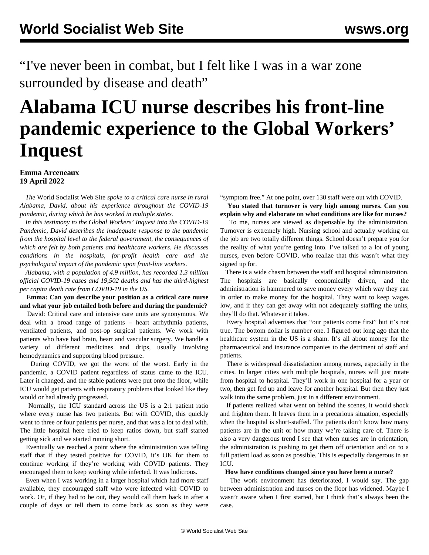"I've never been in combat, but I felt like I was in a war zone surrounded by disease and death"

# **Alabama ICU nurse describes his front-line pandemic experience to the Global Workers' Inquest**

## **Emma Arceneaux 19 April 2022**

 *The* World Socialist Web Site *spoke to a critical care nurse in rural Alabama, David, about his experience throughout the COVID-19 pandemic, during which he has worked in multiple states.*

 *In this testimony to the Global Workers' Inquest into the COVID-19 Pandemic, David describes the inadequate response to the pandemic from the hospital level to the federal government, the consequences of which are felt by both patients and healthcare workers. He discusses conditions in the hospitals, for-profit health care and the psychological impact of the pandemic upon front-line workers.*

 *Alabama, with a population of 4.9 million, has recorded 1.3 million official COVID-19 cases and 19,502 deaths and has the third-highest per capita death rate from COVID-19 in the US.*

 **Emma: Can you describe your position as a critical care nurse and what your job entailed both before and during the pandemic?**

 David: Critical care and intensive care units are synonymous. We deal with a broad range of patients – heart arrhythmia patients, ventilated patients, and post-op surgical patients. We work with patients who have had brain, heart and vascular surgery. We handle a variety of different medicines and drips, usually involving hemodynamics and supporting blood pressure.

 During COVID, we got the worst of the worst. Early in the pandemic, a COVID patient regardless of status came to the ICU. Later it changed, and the stable patients were put onto the floor, while ICU would get patients with respiratory problems that looked like they would or had already progressed.

 Normally, the ICU standard across the US is a 2:1 patient ratio where every nurse has two patients. But with COVID, this quickly went to three or four patients per nurse, and that was a lot to deal with. The little hospital here tried to keep ratios down, but staff started getting sick and we started running short.

 Eventually we reached a point where the administration was telling staff that if they tested positive for COVID, it's OK for them to continue working if they're working with COVID patients. They encouraged them to keep working while infected. It was ludicrous.

 Even when I was working in a larger hospital which had more staff available, they encouraged staff who were infected with COVID to work. Or, if they had to be out, they would call them back in after a couple of days or tell them to come back as soon as they were "symptom free." At one point, over 130 staff were out with COVID.

 **You stated that turnover is very high among nurses. Can you explain why and elaborate on what conditions are like for nurses?**

 To me, nurses are viewed as dispensable by the administration. Turnover is extremely high. Nursing school and actually working on the job are two totally different things. School doesn't prepare you for the reality of what you're getting into. I've talked to a lot of young nurses, even before COVID, who realize that this wasn't what they signed up for.

 There is a wide chasm between the staff and hospital administration. The hospitals are basically economically driven, and the administration is hammered to save money every which way they can in order to make money for the hospital. They want to keep wages low, and if they can get away with not adequately staffing the units, they'll do that. Whatever it takes.

 Every hospital advertises that "our patients come first" but it's not true. The bottom dollar is number one. I figured out long ago that the healthcare system in the US is a sham. It's all about money for the pharmaceutical and insurance companies to the detriment of staff and patients.

 There is widespread dissatisfaction among nurses, especially in the cities. In larger cities with multiple hospitals, nurses will just rotate from hospital to hospital. They'll work in one hospital for a year or two, then get fed up and leave for another hospital. But then they just walk into the same problem, just in a different environment.

 If patients realized what went on behind the scenes, it would shock and frighten them. It leaves them in a precarious situation, especially when the hospital is short-staffed. The patients don't know how many patients are in the unit or how many we're taking care of. There is also a very dangerous trend I see that when nurses are in orientation, the administration is pushing to get them off orientation and on to a full patient load as soon as possible. This is especially dangerous in an ICU.

#### **How have conditions changed since you have been a nurse?**

 The work environment has deteriorated, I would say. The gap between administration and nurses on the floor has widened. Maybe I wasn't aware when I first started, but I think that's always been the case.